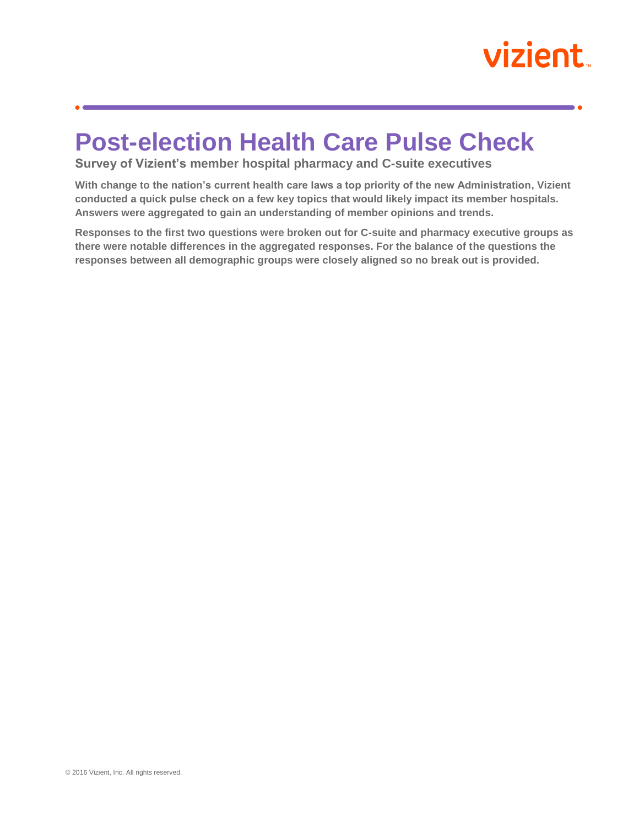## vizient

## **Post-election Health Care Pulse Check**

**Survey of Vizient's member hospital pharmacy and C-suite executives**

**With change to the nation's current health care laws a top priority of the new Administration, Vizient conducted a quick pulse check on a few key topics that would likely impact its member hospitals. Answers were aggregated to gain an understanding of member opinions and trends.** 

**Responses to the first two questions were broken out for C-suite and pharmacy executive groups as there were notable differences in the aggregated responses. For the balance of the questions the responses between all demographic groups were closely aligned so no break out is provided.**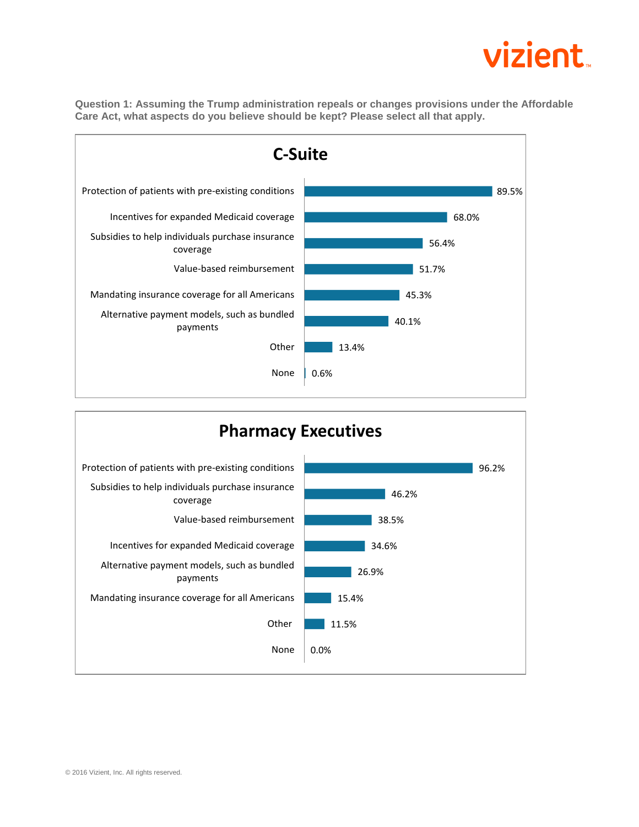## vizient

**Question 1: Assuming the Trump administration repeals or changes provisions under the Affordable Care Act, what aspects do you believe should be kept? Please select all that apply.**



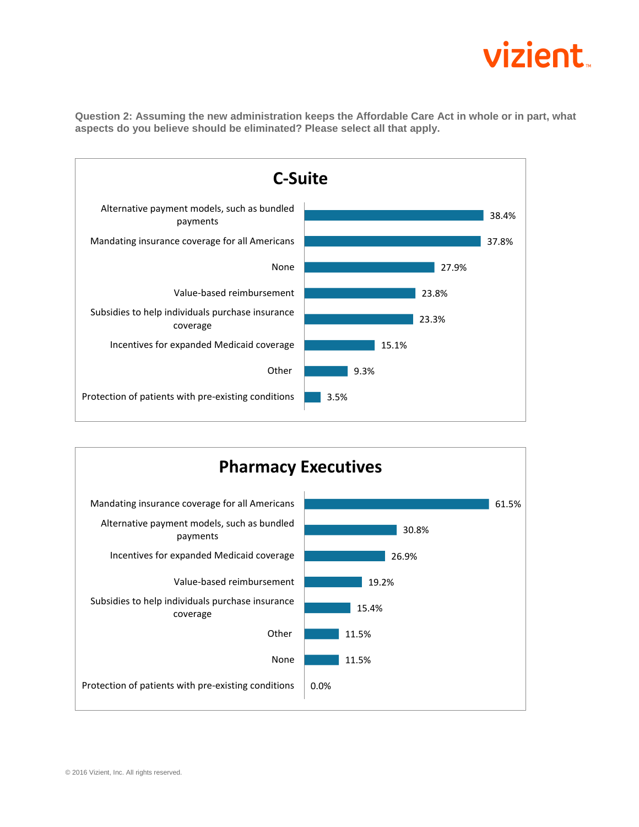

**Question 2: Assuming the new administration keeps the Affordable Care Act in whole or in part, what aspects do you believe should be eliminated? Please select all that apply.**



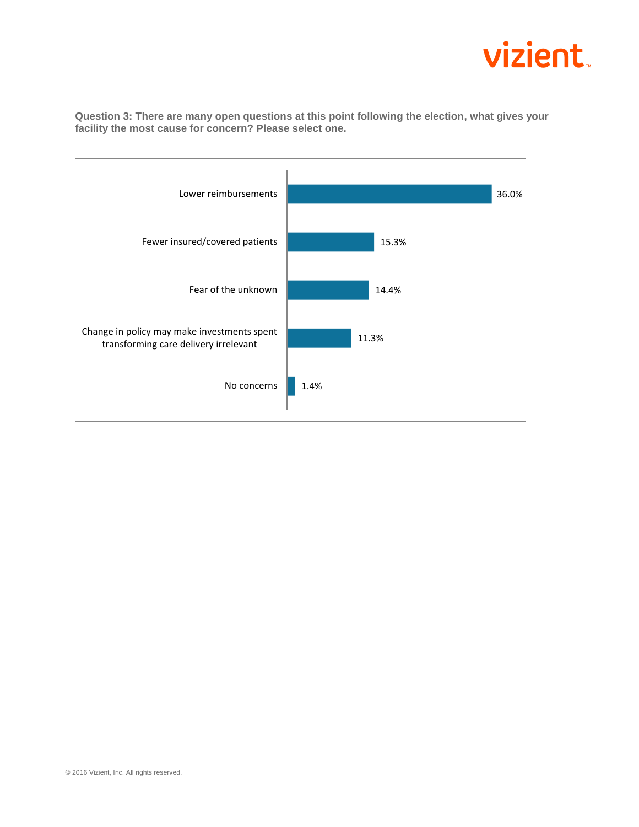

1.4% 11.3% 14.4% 15.3% 36.0% No concerns Change in policy may make investments spent transforming care delivery irrelevant Fear of the unknown Fewer insured/covered patients Lower reimbursements

**Question 3: There are many open questions at this point following the election, what gives your facility the most cause for concern? Please select one.**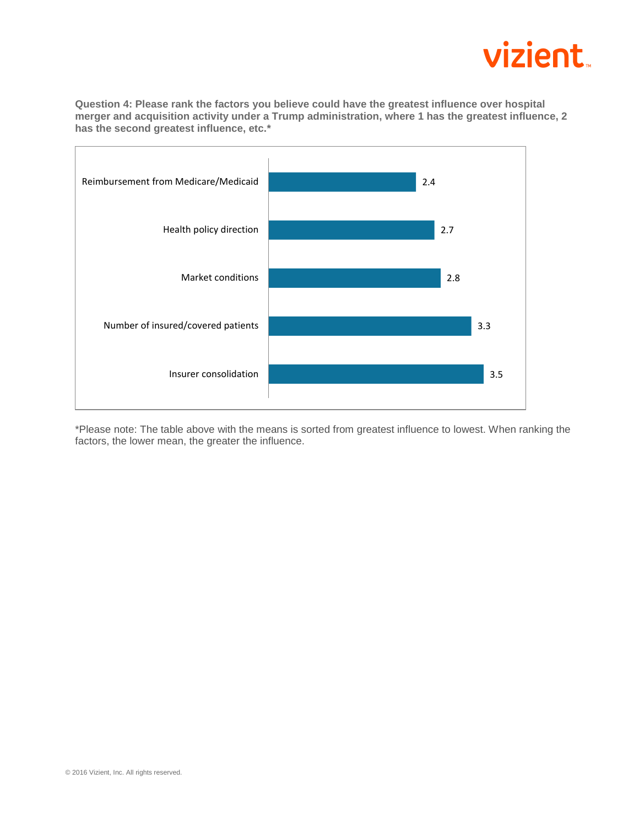

**Question 4: Please rank the factors you believe could have the greatest influence over hospital merger and acquisition activity under a Trump administration, where 1 has the greatest influence, 2 has the second greatest influence, etc.\***



\*Please note: The table above with the means is sorted from greatest influence to lowest. When ranking the factors, the lower mean, the greater the influence.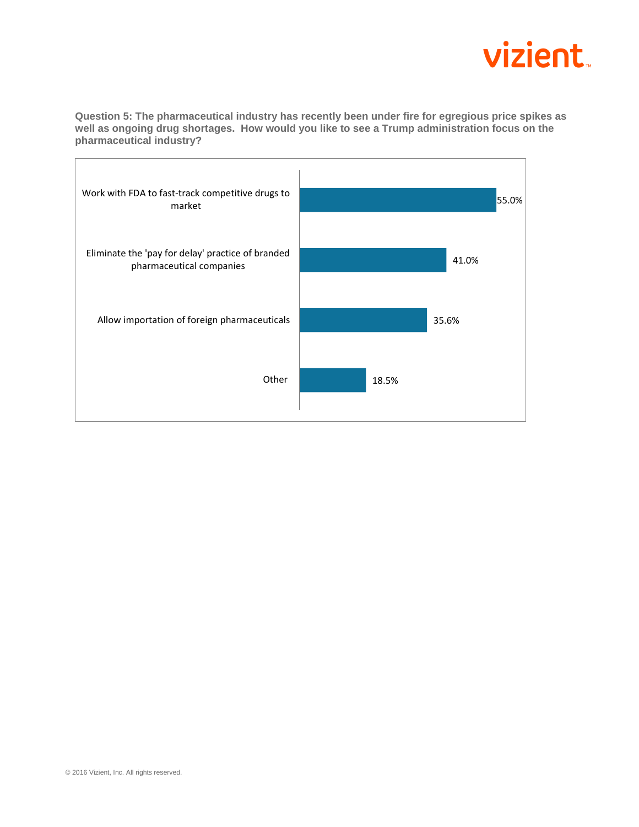

**Question 5: The pharmaceutical industry has recently been under fire for egregious price spikes as well as ongoing drug shortages. How would you like to see a Trump administration focus on the pharmaceutical industry?**

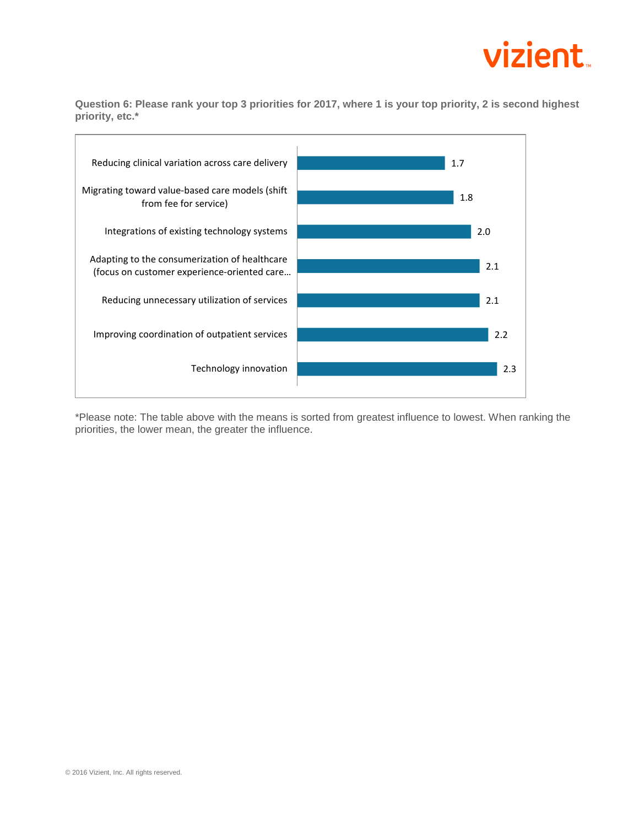

**Question 6: Please rank your top 3 priorities for 2017, where 1 is your top priority, 2 is second highest priority, etc.\***



\*Please note: The table above with the means is sorted from greatest influence to lowest. When ranking the priorities, the lower mean, the greater the influence.